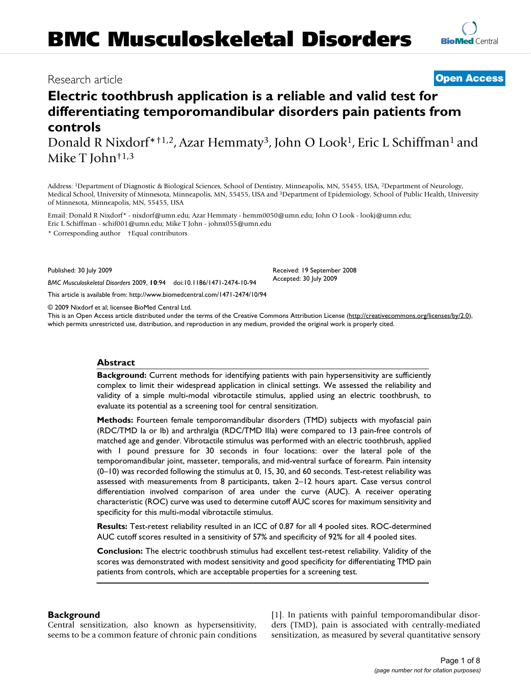## Research article **[Open Access](http://www.biomedcentral.com/info/about/charter/)**

# **Electric toothbrush application is a reliable and valid test for differentiating temporomandibular disorders pain patients from controls**

Donald R Nixdorf\*<sup>†1,2</sup>, Azar Hemmaty<sup>3</sup>, John O Look<sup>1</sup>, Eric L Schiffman<sup>1</sup> and Mike T John†1,3

Address: 1Department of Diagnostic & Biological Sciences, School of Dentistry, Minneapolis, MN, 55455, USA, 2Department of Neurology, Medical School, University of Minnesota, Minneapolis, MN, 55455, USA and 3Department of Epidemiology, School of Public Health, University of Minnesota, Minneapolis, MN, 55455, USA

Email: Donald R Nixdorf\* - nixdorf@umn.edu; Azar Hemmaty - hemm0050@umn.edu; John O Look - lookj@umn.edu; Eric L Schiffman - schif001@umn.edu; Mike T John - johnx055@umn.edu

\* Corresponding author †Equal contributors

Published: 30 July 2009

*BMC Musculoskeletal Disorders* 2009, **10**:94 doi:10.1186/1471-2474-10-94

[This article is available from: http://www.biomedcentral.com/1471-2474/10/94](http://www.biomedcentral.com/1471-2474/10/94)

© 2009 Nixdorf et al; licensee BioMed Central Ltd.

This is an Open Access article distributed under the terms of the Creative Commons Attribution License [\(http://creativecommons.org/licenses/by/2.0\)](http://creativecommons.org/licenses/by/2.0), which permits unrestricted use, distribution, and reproduction in any medium, provided the original work is properly cited.

#### **Abstract**

**Background:** Current methods for identifying patients with pain hypersensitivity are sufficiently complex to limit their widespread application in clinical settings. We assessed the reliability and validity of a simple multi-modal vibrotactile stimulus, applied using an electric toothbrush, to evaluate its potential as a screening tool for central sensitization.

**Methods:** Fourteen female temporomandibular disorders (TMD) subjects with myofascial pain (RDC/TMD Ia or Ib) and arthralgia (RDC/TMD IIIa) were compared to 13 pain-free controls of matched age and gender. Vibrotactile stimulus was performed with an electric toothbrush, applied with 1 pound pressure for 30 seconds in four locations: over the lateral pole of the temporomandibular joint, masseter, temporalis, and mid-ventral surface of forearm. Pain intensity (0–10) was recorded following the stimulus at 0, 15, 30, and 60 seconds. Test-retest reliability was assessed with measurements from 8 participants, taken 2–12 hours apart. Case versus control differentiation involved comparison of area under the curve (AUC). A receiver operating characteristic (ROC) curve was used to determine cutoff AUC scores for maximum sensitivity and specificity for this multi-modal vibrotactile stimulus.

**Results:** Test-retest reliability resulted in an ICC of 0.87 for all 4 pooled sites. ROC-determined AUC cutoff scores resulted in a sensitivity of 57% and specificity of 92% for all 4 pooled sites.

**Conclusion:** The electric toothbrush stimulus had excellent test-retest reliability. Validity of the scores was demonstrated with modest sensitivity and good specificity for differentiating TMD pain patients from controls, which are acceptable properties for a screening test.

#### **Background**

Central sensitization, also known as hypersensitivity, seems to be a common feature of chronic pain conditions [1]. In patients with painful temporomandibular disorders (TMD), pain is associated with centrally-mediated sensitization, as measured by several quantitative sensory



Received: 19 September 2008 Accepted: 30 July 2009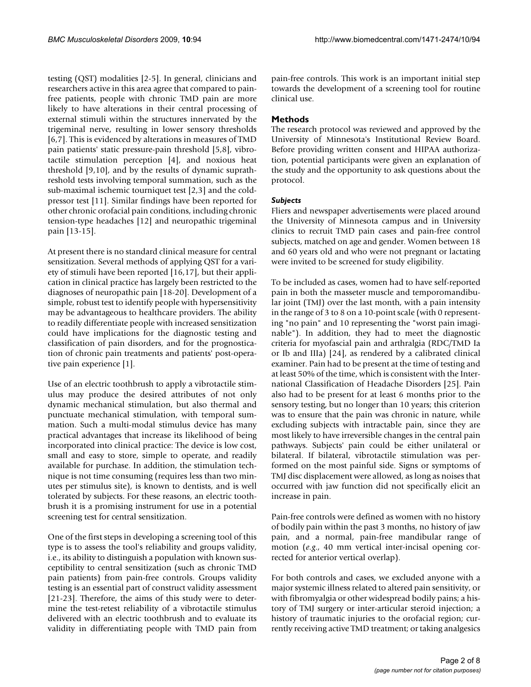testing (QST) modalities [2-5]. In general, clinicians and researchers active in this area agree that compared to painfree patients, people with chronic TMD pain are more likely to have alterations in their central processing of external stimuli within the structures innervated by the trigeminal nerve, resulting in lower sensory thresholds [6,7]. This is evidenced by alterations in measures of TMD pain patients' static pressure-pain threshold [5,8], vibrotactile stimulation perception [4], and noxious heat threshold [9,10], and by the results of dynamic suprathreshold tests involving temporal summation, such as the sub-maximal ischemic tourniquet test [2,3] and the coldpressor test [11]. Similar findings have been reported for other chronic orofacial pain conditions, including chronic tension-type headaches [12] and neuropathic trigeminal pain [13-15].

At present there is no standard clinical measure for central sensitization. Several methods of applying QST for a variety of stimuli have been reported [16,17], but their application in clinical practice has largely been restricted to the diagnoses of neuropathic pain [18-20]. Development of a simple, robust test to identify people with hypersensitivity may be advantageous to healthcare providers. The ability to readily differentiate people with increased sensitization could have implications for the diagnostic testing and classification of pain disorders, and for the prognostication of chronic pain treatments and patients' post-operative pain experience [1].

Use of an electric toothbrush to apply a vibrotactile stimulus may produce the desired attributes of not only dynamic mechanical stimulation, but also thermal and punctuate mechanical stimulation, with temporal summation. Such a multi-modal stimulus device has many practical advantages that increase its likelihood of being incorporated into clinical practice: The device is low cost, small and easy to store, simple to operate, and readily available for purchase. In addition, the stimulation technique is not time consuming (requires less than two minutes per stimulus site), is known to dentists, and is well tolerated by subjects. For these reasons, an electric toothbrush it is a promising instrument for use in a potential screening test for central sensitization.

One of the first steps in developing a screening tool of this type is to assess the tool's reliability and groups validity, i.e., its ability to distinguish a population with known susceptibility to central sensitization (such as chronic TMD pain patients) from pain-free controls. Groups validity testing is an essential part of construct validity assessment [21-23]. Therefore, the aims of this study were to determine the test-retest reliability of a vibrotactile stimulus delivered with an electric toothbrush and to evaluate its validity in differentiating people with TMD pain from

pain-free controls. This work is an important initial step towards the development of a screening tool for routine clinical use.

### **Methods**

The research protocol was reviewed and approved by the University of Minnesota's Institutional Review Board. Before providing written consent and HIPAA authorization, potential participants were given an explanation of the study and the opportunity to ask questions about the protocol.

### *Subjects*

Fliers and newspaper advertisements were placed around the University of Minnesota campus and in University clinics to recruit TMD pain cases and pain-free control subjects, matched on age and gender. Women between 18 and 60 years old and who were not pregnant or lactating were invited to be screened for study eligibility.

To be included as cases, women had to have self-reported pain in both the masseter muscle and temporomandibular joint (TMJ) over the last month, with a pain intensity in the range of 3 to 8 on a 10-point scale (with 0 representing "no pain" and 10 representing the "worst pain imaginable"). In addition, they had to meet the diagnostic criteria for myofascial pain and arthralgia (RDC/TMD Ia or Ib and IIIa) [24], as rendered by a calibrated clinical examiner. Pain had to be present at the time of testing and at least 50% of the time, which is consistent with the International Classification of Headache Disorders [25]. Pain also had to be present for at least 6 months prior to the sensory testing, but no longer than 10 years; this criterion was to ensure that the pain was chronic in nature, while excluding subjects with intractable pain, since they are most likely to have irreversible changes in the central pain pathways. Subjects' pain could be either unilateral or bilateral. If bilateral, vibrotactile stimulation was performed on the most painful side. Signs or symptoms of TMJ disc displacement were allowed, as long as noises that occurred with jaw function did not specifically elicit an increase in pain.

Pain-free controls were defined as women with no history of bodily pain within the past 3 months, no history of jaw pain, and a normal, pain-free mandibular range of motion (*e.g*., 40 mm vertical inter-incisal opening corrected for anterior vertical overlap).

For both controls and cases, we excluded anyone with a major systemic illness related to altered pain sensitivity, or with fibromyalgia or other widespread bodily pains; a history of TMJ surgery or inter-articular steroid injection; a history of traumatic injuries to the orofacial region; currently receiving active TMD treatment; or taking analgesics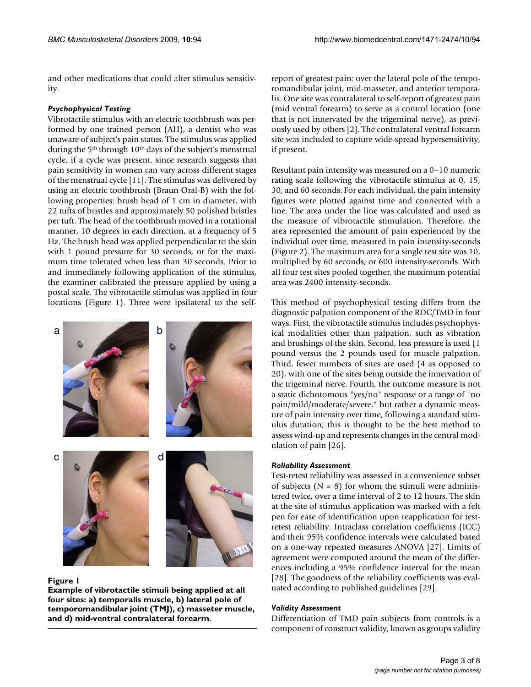and other medications that could alter stimulus sensitivity.

#### *Psychophysical Testing*

Vibrotactile stimulus with an electric toothbrush was performed by one trained person (AH), a dentist who was unaware of subject's pain status. The stimulus was applied during the 5<sup>th</sup> through 10<sup>th</sup> days of the subject's menstrual cycle, if a cycle was present, since research suggests that pain sensitivity in women can vary across different stages of the menstrual cycle [11]. The stimulus was delivered by using an electric toothbrush (Braun Oral-B) with the following properties: brush head of 1 cm in diameter, with 22 tufts of bristles and approximately 50 polished bristles per tuft. The head of the toothbrush moved in a rotational manner, 10 degrees in each direction, at a frequency of 5 Hz. The brush head was applied perpendicular to the skin with 1 pound pressure for 30 seconds, or for the maximum time tolerated when less than 30 seconds. Prior to and immediately following application of the stimulus, the examiner calibrated the pressure applied by using a postal scale. The vibrotactile stimulus was applied in four locations (Figure 1). Three were ipsilateral to the self-



#### Figure 1

**Example of vibrotactile stimuli being applied at all four sites: a) temporalis muscle, b) lateral pole of temporomandibular joint (TMJ), c) masseter muscle, and d) mid-ventral contralateral forearm**.

report of greatest pain: over the lateral pole of the temporomandibular joint, mid-masseter, and anterior temporalis. One site was contralateral to self-report of greatest pain (mid ventral forearm) to serve as a control location (one that is not innervated by the trigeminal nerve), as previously used by others [2]. The contralateral ventral forearm site was included to capture wide-spread hypersensitivity, if present.

Resultant pain intensity was measured on a 0–10 numeric rating scale following the vibrotactile stimulus at 0, 15, 30, and 60 seconds. For each individual, the pain intensity figures were plotted against time and connected with a line. The area under the line was calculated and used as the measure of vibrotactile stimulation. Therefore, the area represented the amount of pain experienced by the individual over time, measured in pain intensity-seconds (Figure 2). The maximum area for a single test site was 10, multiplied by 60 seconds, or 600 intensity-seconds. With all four test sites pooled together, the maximum potential area was 2400 intensity-seconds.

This method of psychophysical testing differs from the diagnostic palpation component of the RDC/TMD in four ways. First, the vibrotactile stimulus includes psychophysical modalities other than palpation, such as vibration and brushings of the skin. Second, less pressure is used (1 pound versus the 2 pounds used for muscle palpation. Third, fewer numbers of sites are used (4 as opposed to 20), with one of the sites being outside the innervation of the trigeminal nerve. Fourth, the outcome measure is not a static dichotomous "yes/no" response or a range of "no pain/mild/moderate/severe," but rather a dynamic measure of pain intensity over time, following a standard stimulus duration; this is thought to be the best method to assess wind-up and represents changes in the central modulation of pain [26].

#### *Reliability Assessment*

Test-retest reliability was assessed in a convenience subset of subjects  $(N = 8)$  for whom the stimuli were administered twice, over a time interval of 2 to 12 hours. The skin at the site of stimulus application was marked with a felt pen for ease of identification upon reapplication for testretest reliability. Intraclass correlation coefficients (ICC) and their 95% confidence intervals were calculated based on a one-way repeated measures ANOVA [27]. Limits of agreement were computed around the mean of the differences including a 95% confidence interval for the mean [28]. The goodness of the reliability coefficients was evaluated according to published guidelines [29].

#### *Validity Assessment*

Differentiation of TMD pain subjects from controls is a component of construct validity, known as groups validity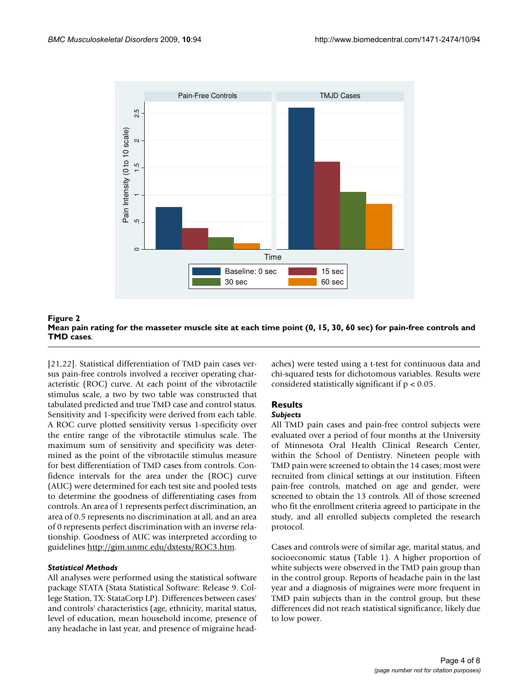

Mean pain rating for the masseter muscle **Figure 2** site at each time point (0, 15, 30, 60 sec) for pain-free controls and TMD cases **Mean pain rating for the masseter muscle site at each time point (0, 15, 30, 60 sec) for pain-free controls and TMD cases**.

[21,22]. Statistical differentiation of TMD pain cases versus pain-free controls involved a receiver operating characteristic (ROC) curve. At each point of the vibrotactile stimulus scale, a two by two table was constructed that tabulated predicted and true TMD case and control status. Sensitivity and 1-specificity were derived from each table. A ROC curve plotted sensitivity versus 1-specificity over the entire range of the vibrotactile stimulus scale. The maximum sum of sensitivity and specificity was determined as the point of the vibrotactile stimulus measure for best differentiation of TMD cases from controls. Confidence intervals for the area under the (ROC) curve (AUC) were determined for each test site and pooled tests to determine the goodness of differentiating cases from controls. An area of 1 represents perfect discrimination, an area of 0.5 represents no discrimination at all, and an area of 0 represents perfect discrimination with an inverse relationship. Goodness of AUC was interpreted according to guidelines [http://gim.unmc.edu/dxtests/ROC3.htm.](http://gim.unmc.edu/dxtests/ROC3.htm)

#### *Statistical Methods*

All analyses were performed using the statistical software package STATA (Stata Statistical Software: Release 9. College Station, TX: StataCorp LP). Differences between cases' and controls' characteristics (age, ethnicity, marital status, level of education, mean household income, presence of any headache in last year, and presence of migraine headaches) were tested using a t-test for continuous data and chi-squared tests for dichotomous variables. Results were considered statistically significant if  $p < 0.05$ .

#### **Results** *Subjects*

All TMD pain cases and pain-free control subjects were evaluated over a period of four months at the University of Minnesota Oral Health Clinical Research Center, within the School of Dentistry. Nineteen people with TMD pain were screened to obtain the 14 cases; most were recruited from clinical settings at our institution. Fifteen pain-free controls, matched on age and gender, were screened to obtain the 13 controls. All of those screened who fit the enrollment criteria agreed to participate in the study, and all enrolled subjects completed the research protocol.

Cases and controls were of similar age, marital status, and socioeconomic status (Table 1). A higher proportion of white subjects were observed in the TMD pain group than in the control group. Reports of headache pain in the last year and a diagnosis of migraines were more frequent in TMD pain subjects than in the control group, but these differences did not reach statistical significance, likely due to low power.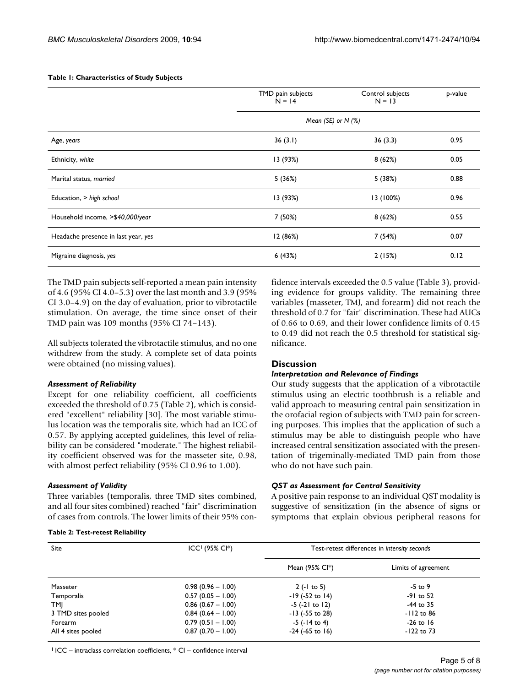#### **Table 1: Characteristics of Study Subjects**

|                                     | TMD pain subjects<br>$N = 14$ | Control subjects<br>$N = 13$ | p-value |  |  |
|-------------------------------------|-------------------------------|------------------------------|---------|--|--|
|                                     | Mean (SE) or $N$ (%)          |                              |         |  |  |
| Age, years                          | 36(3.1)                       | 36(3.3)                      | 0.95    |  |  |
| Ethnicity, white                    | 13 (93%)                      | 8(62%)                       | 0.05    |  |  |
| Marital status, married             | 5(36%)                        | 5 (38%)                      | 0.88    |  |  |
| Education, > high school            | 13 (93%)                      | 13 (100%)                    | 0.96    |  |  |
| Household income, >\$40,000/year    | 7 (50%)                       | 8(62%)                       | 0.55    |  |  |
| Headache presence in last year, yes | 12(86%)                       | 7 (54%)                      | 0.07    |  |  |
| Migraine diagnosis, yes             | 6 (43%)                       | 2(15%)                       | 0.12    |  |  |

The TMD pain subjects self-reported a mean pain intensity of 4.6 (95% CI 4.0–5.3) over the last month and 3.9 (95% CI 3.0–4.9) on the day of evaluation, prior to vibrotactile stimulation. On average, the time since onset of their TMD pain was 109 months (95% CI 74–143).

All subjects tolerated the vibrotactile stimulus, and no one withdrew from the study. A complete set of data points were obtained (no missing values).

#### *Assessment of Reliability*

Except for one reliability coefficient, all coefficients exceeded the threshold of 0.75 (Table 2), which is considered "excellent" reliability [30]. The most variable stimulus location was the temporalis site, which had an ICC of 0.57. By applying accepted guidelines, this level of reliability can be considered "moderate." The highest reliability coefficient observed was for the masseter site, 0.98, with almost perfect reliability (95% CI 0.96 to 1.00).

#### *Assessment of Validity*

Three variables (temporalis, three TMD sites combined, and all four sites combined) reached "fair" discrimination of cases from controls. The lower limits of their 95% con-

#### **Table 2: Test-retest Reliability**

fidence intervals exceeded the 0.5 value (Table 3), providing evidence for groups validity. The remaining three variables (masseter, TMJ, and forearm) did not reach the threshold of 0.7 for "fair" discrimination. These had AUCs of 0.66 to 0.69, and their lower confidence limits of 0.45 to 0.49 did not reach the 0.5 threshold for statistical significance.

#### **Discussion**

#### *Interpretation and Relevance of Findings*

Our study suggests that the application of a vibrotactile stimulus using an electric toothbrush is a reliable and valid approach to measuring central pain sensitization in the orofacial region of subjects with TMD pain for screening purposes. This implies that the application of such a stimulus may be able to distinguish people who have increased central sensitization associated with the presentation of trigeminally-mediated TMD pain from those who do not have such pain.

#### *QST as Assessment for Central Sensitivity*

A positive pain response to an individual QST modality is suggestive of sensitization (in the absence of signs or symptoms that explain obvious peripheral reasons for

| <b>Site</b>        | $ICC1$ (95% Cl <sup>*</sup> ) | Test-retest differences in intensity seconds |                     |  |
|--------------------|-------------------------------|----------------------------------------------|---------------------|--|
|                    |                               | Mean (95% Cl*)                               | Limits of agreement |  |
| Masseter           | $0.98(0.96 - 1.00)$           | $2(-1)$ to 5)                                | -5 to 9             |  |
| Temporalis         | $0.57(0.05 - 1.00)$           | $-19$ ( $-52$ to $14$ )                      | -91 to 52           |  |
| TMI                | $0.86$ (0.67 - 1.00)          | $-5$ ( $-21$ to 12)                          | -44 to 35           |  |
| 3 TMD sites pooled | $0.84(0.64 - 1.00)$           | $-13$ ( $-55$ to 28)                         | $-112$ to 86        |  |
| Forearm            | $0.79(0.51 - 1.00)$           | $-5$ ( $-14$ to 4)                           | $-26$ to 16         |  |
| All 4 sites pooled | $0.87(0.70 - 1.00)$           | $-24$ ( $-65$ to 16)                         | $-122$ to 73        |  |

 $1$  ICC – intraclass correlation coefficients,  $*$  CI – confidence interval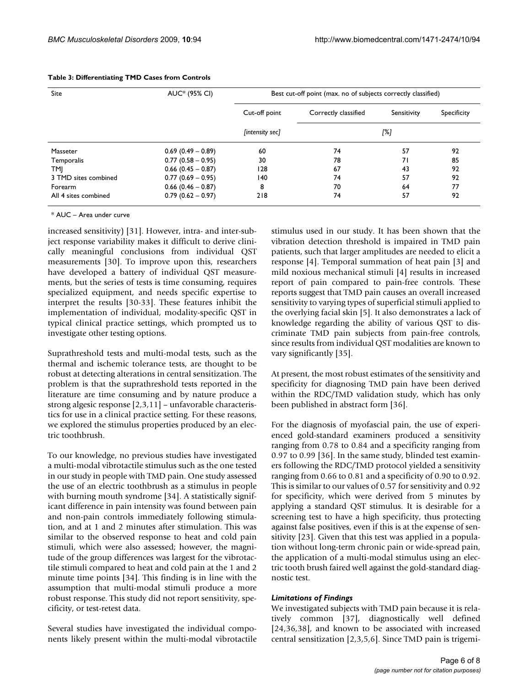| Site                 | AUC <sup>*</sup> (95% CI) | Best cut-off point (max. no of subjects correctly classified) |                      |             |             |
|----------------------|---------------------------|---------------------------------------------------------------|----------------------|-------------|-------------|
|                      |                           | Cut-off point                                                 | Correctly classified | Sensitivity | Specificity |
|                      |                           | [intensity sec]                                               | [%]                  |             |             |
| Masseter             | $0.69$ (0.49 - 0.89)      | 60                                                            | 74                   | 57          | 92          |
| Temporalis           | $0.77(0.58 - 0.95)$       | 30                                                            | 78                   | 71          | 85          |
| TMJ                  | $0.66$ (0.45 - 0.87)      | 128                                                           | 67                   | 43          | 92          |
| 3 TMD sites combined | $0.77(0.69 - 0.95)$       | 140                                                           | 74                   | 57          | 92          |
| Forearm              | $0.66$ (0.46 - 0.87)      | 8                                                             | 70                   | 64          | 77          |
| All 4 sites combined | $0.79(0.62 - 0.97)$       | 218                                                           | 74                   | 57          | 92          |

#### **Table 3: Differentiating TMD Cases from Controls**

\* AUC – Area under curve

increased sensitivity) [31]. However, intra- and inter-subject response variability makes it difficult to derive clinically meaningful conclusions from individual QST measurements [30]. To improve upon this, researchers have developed a battery of individual QST measurements, but the series of tests is time consuming, requires specialized equipment, and needs specific expertise to interpret the results [30-33]. These features inhibit the implementation of individual, modality-specific QST in typical clinical practice settings, which prompted us to investigate other testing options.

Suprathreshold tests and multi-modal tests, such as the thermal and ischemic tolerance tests, are thought to be robust at detecting alterations in central sensitization. The problem is that the suprathreshold tests reported in the literature are time consuming and by nature produce a strong algesic response [2,3,11] – unfavorable characteristics for use in a clinical practice setting. For these reasons, we explored the stimulus properties produced by an electric toothbrush.

To our knowledge, no previous studies have investigated a multi-modal vibrotactile stimulus such as the one tested in our study in people with TMD pain. One study assessed the use of an electric toothbrush as a stimulus in people with burning mouth syndrome [34]. A statistically significant difference in pain intensity was found between pain and non-pain controls immediately following stimulation, and at 1 and 2 minutes after stimulation. This was similar to the observed response to heat and cold pain stimuli, which were also assessed; however, the magnitude of the group differences was largest for the vibrotactile stimuli compared to heat and cold pain at the 1 and 2 minute time points [34]. This finding is in line with the assumption that multi-modal stimuli produce a more robust response. This study did not report sensitivity, specificity, or test-retest data.

Several studies have investigated the individual components likely present within the multi-modal vibrotactile stimulus used in our study. It has been shown that the vibration detection threshold is impaired in TMD pain patients, such that larger amplitudes are needed to elicit a response [4]. Temporal summation of heat pain [3] and mild noxious mechanical stimuli [4] results in increased report of pain compared to pain-free controls. These reports suggest that TMD pain causes an overall increased sensitivity to varying types of superficial stimuli applied to the overlying facial skin [5]. It also demonstrates a lack of knowledge regarding the ability of various QST to discriminate TMD pain subjects from pain-free controls, since results from individual QST modalities are known to vary significantly [35].

At present, the most robust estimates of the sensitivity and specificity for diagnosing TMD pain have been derived within the RDC/TMD validation study, which has only been published in abstract form [36].

For the diagnosis of myofascial pain, the use of experienced gold-standard examiners produced a sensitivity ranging from 0.78 to 0.84 and a specificity ranging from 0.97 to 0.99 [36]. In the same study, blinded test examiners following the RDC/TMD protocol yielded a sensitivity ranging from 0.66 to 0.81 and a specificity of 0.90 to 0.92. This is similar to our values of 0.57 for sensitivity and 0.92 for specificity, which were derived from 5 minutes by applying a standard QST stimulus. It is desirable for a screening test to have a high specificity, thus protecting against false positives, even if this is at the expense of sensitivity [23]. Given that this test was applied in a population without long-term chronic pain or wide-spread pain, the application of a multi-modal stimulus using an electric tooth brush faired well against the gold-standard diagnostic test.

#### *Limitations of Findings*

We investigated subjects with TMD pain because it is relatively common [37], diagnostically well defined [24,36,38], and known to be associated with increased central sensitization [2,3,5,6]. Since TMD pain is trigemi-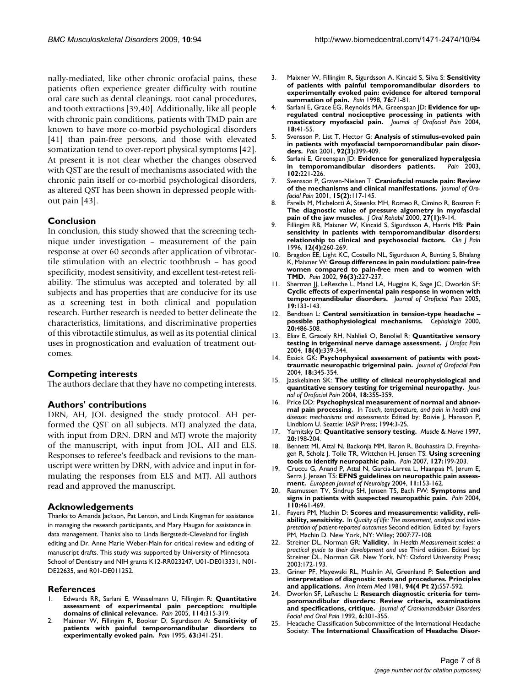nally-mediated, like other chronic orofacial pains, these patients often experience greater difficulty with routine oral care such as dental cleanings, root canal procedures, and tooth extractions [39,40]. Additionally, like all people with chronic pain conditions, patients with TMD pain are known to have more co-morbid psychological disorders [41] than pain-free persons, and those with elevated somatization tend to over-report physical symptoms [42]. At present it is not clear whether the changes observed with QST are the result of mechanisms associated with the chronic pain itself or co-morbid psychological disorders, as altered QST has been shown in depressed people without pain [43].

#### **Conclusion**

In conclusion, this study showed that the screening technique under investigation – measurement of the pain response at over 60 seconds after application of vibrotactile stimulation with an electric toothbrush – has good specificity, modest sensitivity, and excellent test-retest reliability. The stimulus was accepted and tolerated by all subjects and has properties that are conducive for its use as a screening test in both clinical and population research. Further research is needed to better delineate the characteristics, limitations, and discriminative properties of this vibrotactile stimulus, as well as its potential clinical uses in prognostication and evaluation of treatment outcomes.

#### **Competing interests**

The authors declare that they have no competing interests.

#### **Authors' contributions**

DRN, AH, JOL designed the study protocol. AH performed the QST on all subjects. MTJ analyzed the data, with input from DRN. DRN and MTJ wrote the majority of the manuscript, with input from JOL, AH and ELS. Responses to referee's feedback and revisions to the manuscript were written by DRN, with advice and input in formulating the responses from ELS and MTJ. All authors read and approved the manuscript.

#### **Acknowledgements**

Thanks to Amanda Jackson, Pat Lenton, and Linda Kingman for assistance in managing the research participants, and Mary Haugan for assistance in data management. Thanks also to Linda Bergstedt-Cleveland for English editing and Dr. Anne Marie Weber-Main for critical review and editing of manuscript drafts. This study was supported by University of Minnesota School of Dentistry and NIH grants K12-RR023247, U01-DE013331, N01- DE22635, and R01-DE011252.

#### **References**

- 1. Edwards RR, Sarlani E, Wesselmann U, Fillingim R: **[Quantitative](http://www.ncbi.nlm.nih.gov/entrez/query.fcgi?cmd=Retrieve&db=PubMed&dopt=Abstract&list_uids=15777856) [assessment of experimental pain perception: multiple](http://www.ncbi.nlm.nih.gov/entrez/query.fcgi?cmd=Retrieve&db=PubMed&dopt=Abstract&list_uids=15777856) [domains of clinical relevance.](http://www.ncbi.nlm.nih.gov/entrez/query.fcgi?cmd=Retrieve&db=PubMed&dopt=Abstract&list_uids=15777856)** *Pain* 2005, **114:**315-319.
- 2. Maixner W, Fillingim R, Booker D, Sigurdsson A: **[Sensitivity of](http://www.ncbi.nlm.nih.gov/entrez/query.fcgi?cmd=Retrieve&db=PubMed&dopt=Abstract&list_uids=8719535) [patients with painful temporomandibular disorders to](http://www.ncbi.nlm.nih.gov/entrez/query.fcgi?cmd=Retrieve&db=PubMed&dopt=Abstract&list_uids=8719535) [experimentally evoked pain.](http://www.ncbi.nlm.nih.gov/entrez/query.fcgi?cmd=Retrieve&db=PubMed&dopt=Abstract&list_uids=8719535)** *Pain* 1995, **63:**341-251.
- 3. Maixner W, Fillingim R, Sigurdsson A, Kincaid S, Silva S: **[Sensitivity](http://www.ncbi.nlm.nih.gov/entrez/query.fcgi?cmd=Retrieve&db=PubMed&dopt=Abstract&list_uids=9696460) [of patients with painful temporomandibular disorders to](http://www.ncbi.nlm.nih.gov/entrez/query.fcgi?cmd=Retrieve&db=PubMed&dopt=Abstract&list_uids=9696460) experimentally evoked pain: evidence for altered temporal [summation of pain.](http://www.ncbi.nlm.nih.gov/entrez/query.fcgi?cmd=Retrieve&db=PubMed&dopt=Abstract&list_uids=9696460)** *Pain* 1998, **76:**71-81.
- 4. Sarlani E, Grace EG, Reynolds MA, Greenspan JD: **[Evidence for up](http://www.ncbi.nlm.nih.gov/entrez/query.fcgi?cmd=Retrieve&db=PubMed&dopt=Abstract&list_uids=15029872)[regulated central nociceptive processing in patients with](http://www.ncbi.nlm.nih.gov/entrez/query.fcgi?cmd=Retrieve&db=PubMed&dopt=Abstract&list_uids=15029872) [masticatory myofascial pain.](http://www.ncbi.nlm.nih.gov/entrez/query.fcgi?cmd=Retrieve&db=PubMed&dopt=Abstract&list_uids=15029872)** *Journal of Orofacial Pain* 2004, **18:**41-55.
- 5. Svensson P, List T, Hector G: **[Analysis of stimulus-evoked pain](http://www.ncbi.nlm.nih.gov/entrez/query.fcgi?cmd=Retrieve&db=PubMed&dopt=Abstract&list_uids=11376913) [in patients with myofascial temporomandibular pain disor](http://www.ncbi.nlm.nih.gov/entrez/query.fcgi?cmd=Retrieve&db=PubMed&dopt=Abstract&list_uids=11376913)[ders.](http://www.ncbi.nlm.nih.gov/entrez/query.fcgi?cmd=Retrieve&db=PubMed&dopt=Abstract&list_uids=11376913)** *Pain* 2001, **92(3):**399-409.
- Sarlani E, Greenspan JD: [Evidence for generalized hyperalgesia](http://www.ncbi.nlm.nih.gov/entrez/query.fcgi?cmd=Retrieve&db=PubMed&dopt=Abstract&list_uids=12670662) **[in temporomandibular disorders patients.](http://www.ncbi.nlm.nih.gov/entrez/query.fcgi?cmd=Retrieve&db=PubMed&dopt=Abstract&list_uids=12670662)** *Pain* 2003, **102:**221-226.
- 7. Svensson P, Graven-Nielsen T: **[Craniofacial muscle pain: Review](http://www.ncbi.nlm.nih.gov/entrez/query.fcgi?cmd=Retrieve&db=PubMed&dopt=Abstract&list_uids=11443825) [of the mechanisms and clinical manifestations.](http://www.ncbi.nlm.nih.gov/entrez/query.fcgi?cmd=Retrieve&db=PubMed&dopt=Abstract&list_uids=11443825)** *Journal of Orofacial Pain* 2001, **15(2):**117-145.
- 8. Farella M, Michelotti A, Steenks MH, Romeo R, Cimino R, Bosman F: **[The diagnostic value of pressure algometry in myofascial](http://www.ncbi.nlm.nih.gov/entrez/query.fcgi?cmd=Retrieve&db=PubMed&dopt=Abstract&list_uids=10632838) [pain of the jaw muscles.](http://www.ncbi.nlm.nih.gov/entrez/query.fcgi?cmd=Retrieve&db=PubMed&dopt=Abstract&list_uids=10632838)** *J Oral Rehabil* 2000, **27(1):**9-14.
- 9. Fillingim RB, Maixner W, Kincaid S, Sigurdsson A, Harris MB: **[Pain](http://www.ncbi.nlm.nih.gov/entrez/query.fcgi?cmd=Retrieve&db=PubMed&dopt=Abstract&list_uids=8969871) [sensitivity in patients with temporomandibular disorders:](http://www.ncbi.nlm.nih.gov/entrez/query.fcgi?cmd=Retrieve&db=PubMed&dopt=Abstract&list_uids=8969871) [relationship to clinical and psychosocial factors.](http://www.ncbi.nlm.nih.gov/entrez/query.fcgi?cmd=Retrieve&db=PubMed&dopt=Abstract&list_uids=8969871)** *Clin J Pain* 1996, **12(4):**260-269.
- 10. Bragdon EE, Light KC, Costello NL, Sigurdsson A, Bunting S, Bhalang K, Maixner W: **[Group differences in pain modulation: pain-free](http://www.ncbi.nlm.nih.gov/entrez/query.fcgi?cmd=Retrieve&db=PubMed&dopt=Abstract&list_uids=11972994) [women compared to pain-free men and to women with](http://www.ncbi.nlm.nih.gov/entrez/query.fcgi?cmd=Retrieve&db=PubMed&dopt=Abstract&list_uids=11972994) [TMD.](http://www.ncbi.nlm.nih.gov/entrez/query.fcgi?cmd=Retrieve&db=PubMed&dopt=Abstract&list_uids=11972994)** *Pain* 2002, **96(3):**227-237.
- 11. Sherman JJ, LeResche L, Mancl LA, Huggins K, Sage JC, Dworkin SF: **[Cyclic effects of experimental pain response in women with](http://www.ncbi.nlm.nih.gov/entrez/query.fcgi?cmd=Retrieve&db=PubMed&dopt=Abstract&list_uids=15895836) [temporomandibular disorders.](http://www.ncbi.nlm.nih.gov/entrez/query.fcgi?cmd=Retrieve&db=PubMed&dopt=Abstract&list_uids=15895836)** *Journal of Orofacial Pain* 2005, **19:**133-143.
- 12. Bendtsen L: **[Central sensitization in tension-type headache –](http://www.ncbi.nlm.nih.gov/entrez/query.fcgi?cmd=Retrieve&db=PubMed&dopt=Abstract&list_uids=11037746) [possible pathophysiological mechanisms.](http://www.ncbi.nlm.nih.gov/entrez/query.fcgi?cmd=Retrieve&db=PubMed&dopt=Abstract&list_uids=11037746)** *Cephalalgia* 2000, **20:**486-508.
- 13. Eliav E, Gracely RH, Nahlieli O, Benoliel R: **[Quantitative sensory](http://www.ncbi.nlm.nih.gov/entrez/query.fcgi?cmd=Retrieve&db=PubMed&dopt=Abstract&list_uids=15636018) [testing in trigeminal nerve damage assessment.](http://www.ncbi.nlm.nih.gov/entrez/query.fcgi?cmd=Retrieve&db=PubMed&dopt=Abstract&list_uids=15636018)** *J Orofac Pain* 2004, **18(4):**339-344.
- 14. Essick GK: **[Psychophysical assessment of patients with post](http://www.ncbi.nlm.nih.gov/entrez/query.fcgi?cmd=Retrieve&db=PubMed&dopt=Abstract&list_uids=15636019)[traumatic neuropathic trigeminal pain.](http://www.ncbi.nlm.nih.gov/entrez/query.fcgi?cmd=Retrieve&db=PubMed&dopt=Abstract&list_uids=15636019)** *Journal of Orofacial Pain* 2004, **18:**345-354.
- 15. Jaaskelainen SK: **[The utility of clinical neurophysiological and](http://www.ncbi.nlm.nih.gov/entrez/query.fcgi?cmd=Retrieve&db=PubMed&dopt=Abstract&list_uids=15636020) [quantitative sensory testing for trigeminal neuropathy.](http://www.ncbi.nlm.nih.gov/entrez/query.fcgi?cmd=Retrieve&db=PubMed&dopt=Abstract&list_uids=15636020)** *Journal of Orofacial Pain* 2004, **18:**355-359.
- 16. Price DD: **Psychophysical measurement of normal and abnormal pain processing.** In *Touch, temperature, and pain in health and disease: mechanisms and assessments* Edited by: Boivie J, Hansson P, Lindblom U. Seattle: IASP Press; 1994:3-25.
- 17. Yarnitsky D: **[Quantitative sensory testing.](http://www.ncbi.nlm.nih.gov/entrez/query.fcgi?cmd=Retrieve&db=PubMed&dopt=Abstract&list_uids=9040659)** *Muscle & Nerve* 1997, **20:**198-204.
- 18. Bennett MI, Attal N, Backonja MM, Baron R, Bouhassira D, Freynhagen R, Scholz J, Tolle TR, Wittchen H, Jensen TS: **[Using screening](http://www.ncbi.nlm.nih.gov/entrez/query.fcgi?cmd=Retrieve&db=PubMed&dopt=Abstract&list_uids=17182186) [tools to identify neuropathic pain.](http://www.ncbi.nlm.nih.gov/entrez/query.fcgi?cmd=Retrieve&db=PubMed&dopt=Abstract&list_uids=17182186)** *Pain* 2007, **127:**199-203.
- 19. Cruccu G, Anand P, Attal N, Garcia-Larrea L, Haanpaa M, Jørum E, Serra J, Jensen TS: **[EFNS guidelines on neuropathic pain assess](http://www.ncbi.nlm.nih.gov/entrez/query.fcgi?cmd=Retrieve&db=PubMed&dopt=Abstract&list_uids=15009162)[ment.](http://www.ncbi.nlm.nih.gov/entrez/query.fcgi?cmd=Retrieve&db=PubMed&dopt=Abstract&list_uids=15009162)** *European Journal of Neurology* 2004, **11:**153-162.
- 20. Rasmussen TV, Sindrup SH, Jensen TS, Bach FW: **[Symptoms and](http://www.ncbi.nlm.nih.gov/entrez/query.fcgi?cmd=Retrieve&db=PubMed&dopt=Abstract&list_uids=15275799) [signs in patients with suspected neuropathic pain.](http://www.ncbi.nlm.nih.gov/entrez/query.fcgi?cmd=Retrieve&db=PubMed&dopt=Abstract&list_uids=15275799)** *Pain* 2004, **110:**461-469.
- 21. Fayers PM, Machin D: **Scores and measurements: validity, reliability, sensitivity.** In *Quality of life: The assessment, analysis and interpretation of patient-reported outcomes* Second edition. Edited by: Fayers PM, Machin D. New York, NY: Wiley; 2007:77-108.
- 22. Streiner DL, Norman GR: **Validity.** In *Health Measurement scales: a practical guide to their development and use* Third edition. Edited by: Streiner DL, Norman GR. New York, NY: Oxford University Press; 2003:172-193.
- 23. Griner PF, Mayewski RL, Mushlin AI, Greenland P: **[Selection and](http://www.ncbi.nlm.nih.gov/entrez/query.fcgi?cmd=Retrieve&db=PubMed&dopt=Abstract&list_uids=6452080) [interpretation of diagnostic tests and procedures. Principles](http://www.ncbi.nlm.nih.gov/entrez/query.fcgi?cmd=Retrieve&db=PubMed&dopt=Abstract&list_uids=6452080) [and applications.](http://www.ncbi.nlm.nih.gov/entrez/query.fcgi?cmd=Retrieve&db=PubMed&dopt=Abstract&list_uids=6452080)** *Ann Intern Med* 1981, **94(4 Pt 2):**557-592.
- 24. Dworkin SF, LeResche L: **Research diagnostic criteria for temporomandibular disorders: Review criteria, examinations and specifications, critique.** *Journal of Craniomandibular Disorders Facial and Oral Pain* 1992, **6:**301-355.
- 25. Headache Classification Subcommittee of the International Headache Society: **[The International Classification of Headache Disor](http://www.ncbi.nlm.nih.gov/entrez/query.fcgi?cmd=Retrieve&db=PubMed&dopt=Abstract&list_uids=14979299)-**